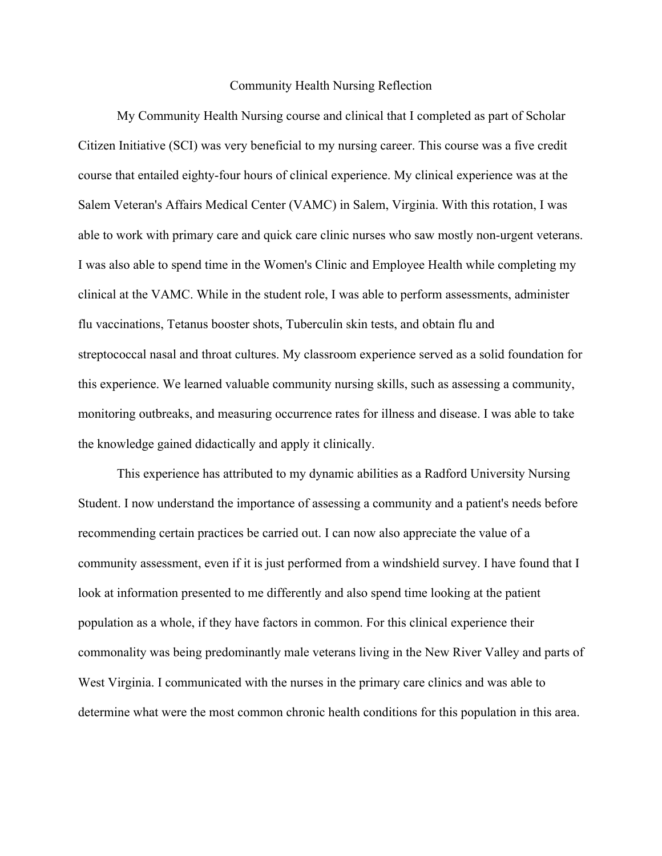## Community Health Nursing Reflection

My Community Health Nursing course and clinical that I completed as part of Scholar Citizen Initiative (SCI) was very beneficial to my nursing career. This course was a five credit course that entailed eighty-four hours of clinical experience. My clinical experience was at the Salem Veteran's Affairs Medical Center (VAMC) in Salem, Virginia. With this rotation, I was able to work with primary care and quick care clinic nurses who saw mostly non-urgent veterans. I was also able to spend time in the Women's Clinic and Employee Health while completing my clinical at the VAMC. While in the student role, I was able to perform assessments, administer flu vaccinations, Tetanus booster shots, Tuberculin skin tests, and obtain flu and streptococcal nasal and throat cultures. My classroom experience served as a solid foundation for this experience. We learned valuable community nursing skills, such as assessing a community, monitoring outbreaks, and measuring occurrence rates for illness and disease. I was able to take the knowledge gained didactically and apply it clinically.

This experience has attributed to my dynamic abilities as a Radford University Nursing Student. I now understand the importance of assessing a community and a patient's needs before recommending certain practices be carried out. I can now also appreciate the value of a community assessment, even if it is just performed from a windshield survey. I have found that I look at information presented to me differently and also spend time looking at the patient population as a whole, if they have factors in common. For this clinical experience their commonality was being predominantly male veterans living in the New River Valley and parts of West Virginia. I communicated with the nurses in the primary care clinics and was able to determine what were the most common chronic health conditions for this population in this area.